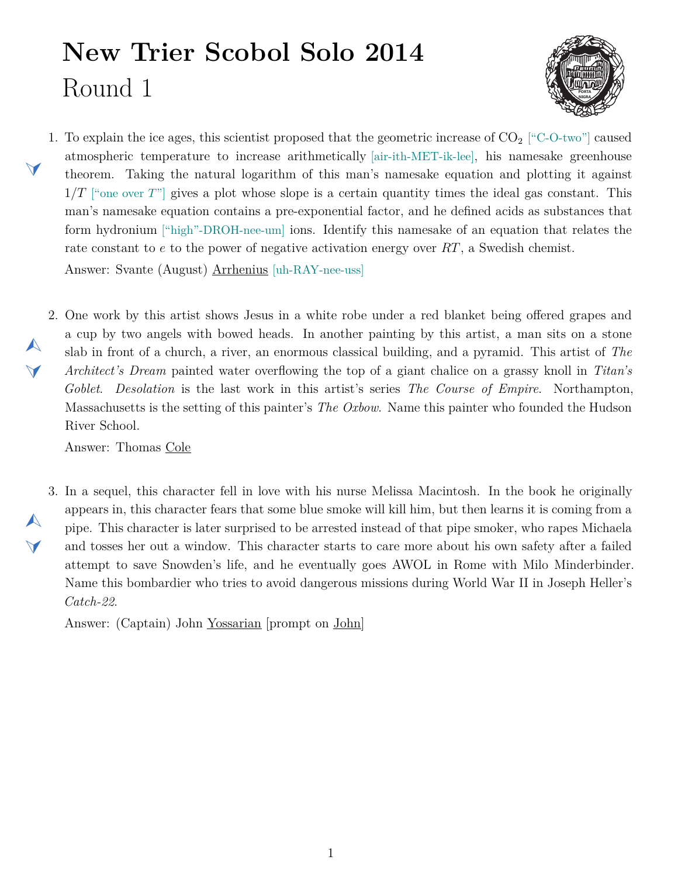## **New Trier Scobol Solo 2014** Round 1



<span id="page-0-1"></span>1. To explain the ice ages, this scientist proposed that the geometric increase of  $CO<sub>2</sub>$  ["C-O-two"] caused atmospheric temperature to increase arithmetically [air-ith-MET-ik-lee], his namesake greenhouse theorem. Taking the natural logarithm of this man's namesake equation and plotting it against 1*/T* ["one over *T*"] gives a plot whose slope is a certain quantity times the ideal gas constant. This man's namesake equation contains a pre-exponential factor, and he defined acids as substances that form hydronium ["high"-DROH-nee-um] ions. Identify this namesake of an equation that relates the rate constant to *e* to the power of negative activation energy over *RT*, a Swedish chemist. Answer: Svante (August) Arrhenius [uh-RAY-nee-uss]

<span id="page-0-0"></span>2. One work by this artist shows Jesus in a white robe under a red blanket being offered grapes and a cup by two angels with bowed heads. In another painting by this artist, a man sits on a stone slab in front of a church, a river, an enormous classical building, and a pyramid. This artist of *The Architect's Dream* painted water overflowing the top of a giant chalice on a grassy knoll in *Titan's Goblet*. *Desolation* is the last work in this artist's series *The Course of Empire*. Northampton, Massachusetts is the setting of this painter's *The Oxbow*. Name this painter who founded the Hudson River School.

Answer: Thomas Cole

 $\blacktriangleleft$ 

 $\blacktriangle$ 

 $\blacktriangleleft$ 

 $\blacktriangle$ 

 $\blacktriangledown$ 

<span id="page-0-2"></span>3. In a sequel, this character fell in love with his nurse Melissa Macintosh. In the book he originally appears in, this character fears that some blue smoke will kill him, but then learns it is coming from a pipe. This character is later surprised to be arrested instead of that pipe smoker, who rapes Michaela and tosses her out a window. This character starts to care more about his own safety after a failed attempt to save Snowden's life, and he eventually goes AWOL in Rome with Milo Minderbinder. Name this bombardier who tries to avoid dangerous missions during World War II in Joseph Heller's *Catch-22*.

Answer: (Captain) John Yossarian [prompt on John]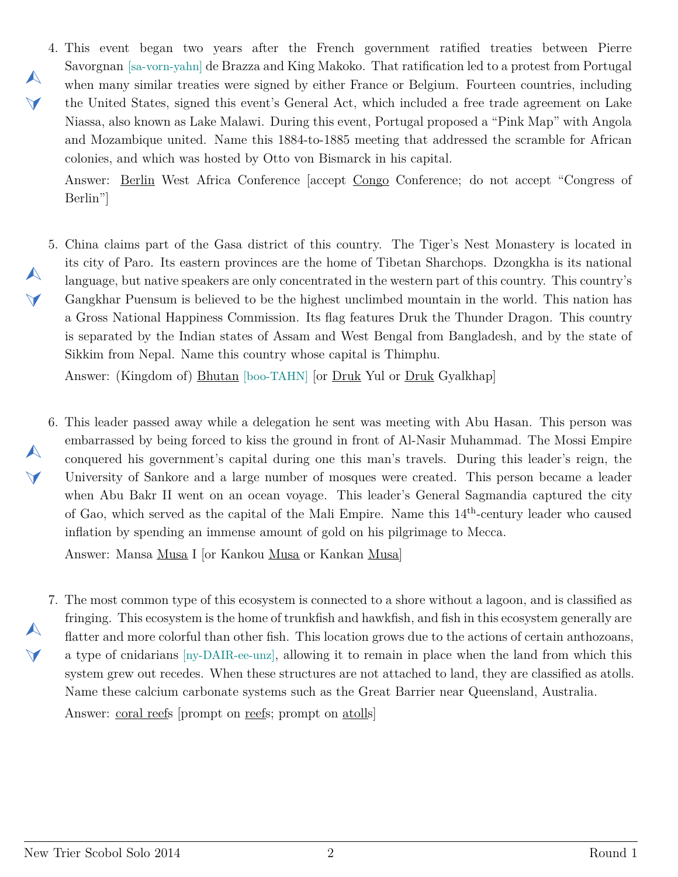<span id="page-1-0"></span>4. This event began two years after the French government ratified treaties between Pierre  $\blacktriangledown$ Savorgnan [sa-vorn-yahn] de Brazza and King Makoko. That ratification led to a protest from Portugal when many similar treaties were signed by either France or Belgium. Fourteen countries, including the United States, signed this event's General Act, which included a free trade agreement on Lake Niassa, also known as Lake Malawi. During this event, Portugal proposed a "Pink Map" with Angola and Mozambique united. Name this 1884-to-1885 meeting that addressed the scramble for African colonies, and which was hosted by Otto von Bismarck in his capital.

Answer: Berlin West Africa Conference [accept Congo Conference; do not accept "Congress of Berlin"]

<span id="page-1-1"></span>5. China claims part of the Gasa district of this country. The Tiger's Nest Monastery is located in its city of Paro. Its eastern provinces are the home of Tibetan Sharchops. Dzongkha is its national language, but native speakers are only concentrated in the western part of this country. This country's Gangkhar Puensum is believed to be the highest unclimbed mountain in the world. This nation has a Gross National Happiness Commission. Its flag features Druk the Thunder Dragon. This country is separated by the Indian states of Assam and West Bengal from Bangladesh, and by the state of Sikkim from Nepal. Name this country whose capital is Thimphu.

Answer: (Kingdom of) Bhutan [boo-TAHN] [or Druk Yul or Druk Gyalkhap]

<span id="page-1-2"></span>6. This leader passed away while a delegation he sent was meeting with Abu Hasan. This person was embarrassed by being forced to kiss the ground in front of Al-Nasir Muhammad. The Mossi Empire conquered his government's capital during one this man's travels. During this leader's reign, the University of Sankore and a large number of mosques were created. This person became a leader when Abu Bakr II went on an ocean voyage. This leader's General Sagmandia captured the city of Gao, which served as the capital of the Mali Empire. Name this 14th-century leader who caused inflation by spending an immense amount of gold on his pilgrimage to Mecca.

Answer: Mansa Musa I [or Kankou Musa or Kankan Musa]

<span id="page-1-3"></span>7. The most common type of this ecosystem is connected to a shore without a lagoon, and is classified as fringing. This ecosystem is the home of trunkfish and hawkfish, and fish in this ecosystem generally are flatter and more colorful than other fish. This location grows due to the actions of certain anthozoans, a type of cnidarians [ny-DAIR-ee-unz], allowing it to remain in place when the land from which this system grew out recedes. When these structures are not attached to land, they are classified as atolls. Name these calcium carbonate systems such as the Great Barrier near Queensland, Australia. Answer: coral reefs [prompt on reefs; prompt on atolls]

 $\blacktriangle$ 

 $\blacktriangle$ 

 $\blacktriangledown$ 

 $\blacktriangle$ 

 $\blacktriangledown$ 

 $\blacktriangle$ 

 $\blacktriangledown$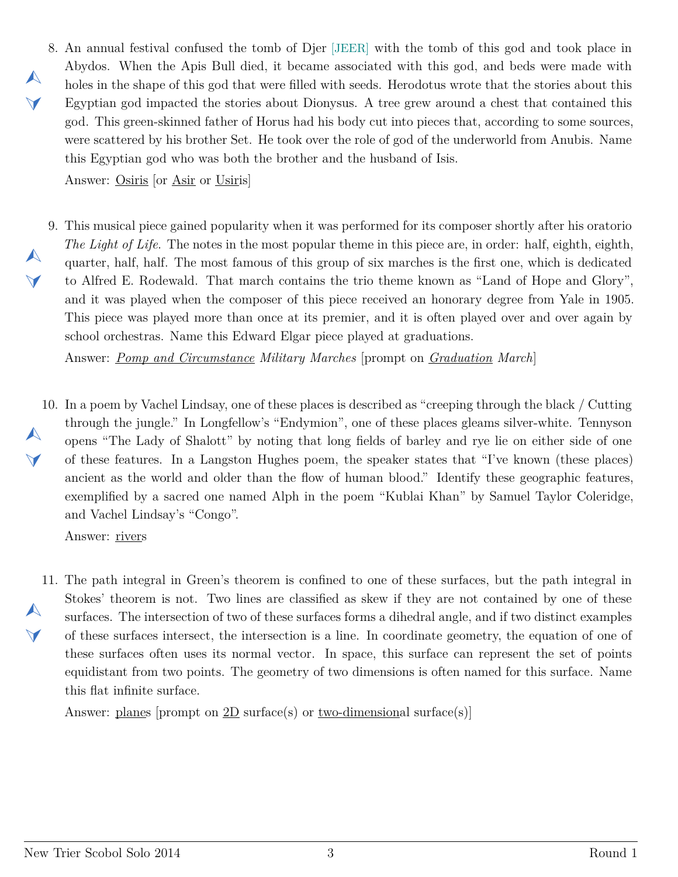<span id="page-2-0"></span>8. An annual festival confused the tomb of Djer [JEER] with the tomb of this god and took place in Abydos. When the Apis Bull died, it became associated with this god, and beds were made with holes in the shape of this god that were filled with seeds. Herodotus wrote that the stories about this Egyptian god impacted the stories about Dionysus. A tree grew around a chest that contained this god. This green-skinned father of Horus had his body cut into pieces that, according to some sources, were scattered by his brother Set. He took over the role of god of the underworld from Anubis. Name this Egyptian god who was both the brother and the husband of Isis.

Answer: Osiris [or Asir or Usiris]

 $\blacktriangle$ 

 $\blacktriangleleft$ 

 $\blacktriangle$ 

 $\blacktriangledown$ 

<span id="page-2-1"></span>9. This musical piece gained popularity when it was performed for its composer shortly after his oratorio *The Light of Life*. The notes in the most popular theme in this piece are, in order: half, eighth, eighth, quarter, half, half. The most famous of this group of six marches is the first one, which is dedicated to Alfred E. Rodewald. That march contains the trio theme known as "Land of Hope and Glory", and it was played when the composer of this piece received an honorary degree from Yale in 1905. This piece was played more than once at its premier, and it is often played over and over again by school orchestras. Name this Edward Elgar piece played at graduations.

Answer: *Pomp and Circumstance Military Marches* [prompt on *Graduation March*]

<span id="page-2-2"></span>10. In a poem by Vachel Lindsay, one of these places is described as "creeping through the black / Cutting  $\blacktriangle$  $\blacktriangleleft$ through the jungle." In Longfellow's "Endymion", one of these places gleams silver-white. Tennyson opens "The Lady of Shalott" by noting that long fields of barley and rye lie on either side of one of these features. In a Langston Hughes poem, the speaker states that "I've known (these places) ancient as the world and older than the flow of human blood." Identify these geographic features, exemplified by a sacred one named Alph in the poem "Kublai Khan" by Samuel Taylor Coleridge, and Vachel Lindsay's "Congo".

Answer: rivers

<span id="page-2-3"></span>11. The path integral in Green's theorem is confined to one of these surfaces, but the path integral in  $\blacktriangle$  $\blacktriangleleft$ Stokes' theorem is not. Two lines are classified as skew if they are not contained by one of these surfaces. The intersection of two of these surfaces forms a dihedral angle, and if two distinct examples of these surfaces intersect, the intersection is a line. In coordinate geometry, the equation of one of these surfaces often uses its normal vector. In space, this surface can represent the set of points equidistant from two points. The geometry of two dimensions is often named for this surface. Name this flat infinite surface.

Answer: planes [prompt on  $2D$  surface(s) or two-dimensional surface(s)]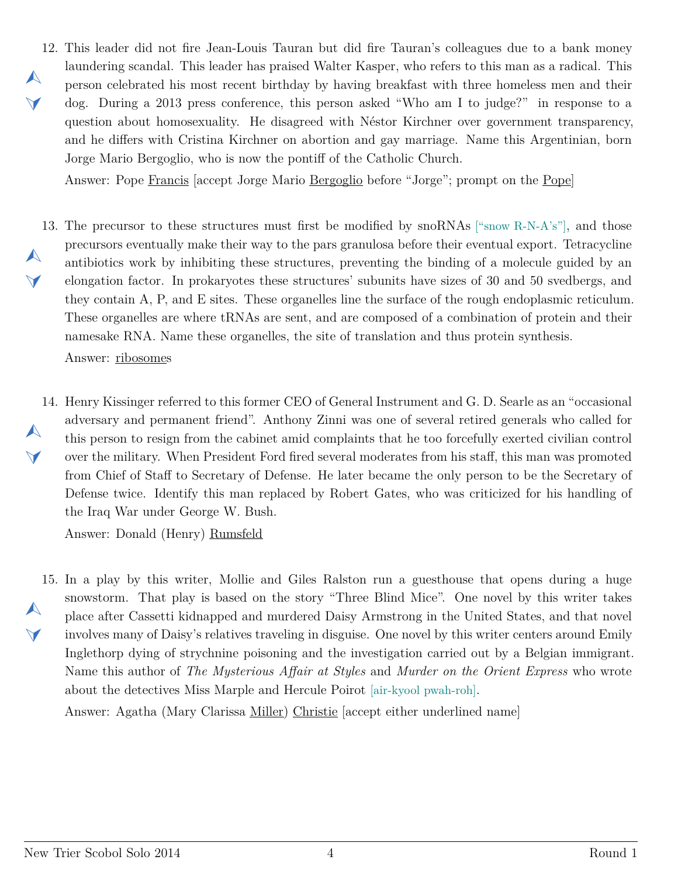<span id="page-3-0"></span>12. This leader did not fire Jean-Louis Tauran but did fire Tauran's colleagues due to a bank money  $\blacktriangle$  $\blacktriangleleft$ laundering scandal. This leader has praised Walter Kasper, who refers to this man as a radical. This person celebrated his most recent birthday by having breakfast with three homeless men and their dog. During a 2013 press conference, this person asked "Who am I to judge?" in response to a question about homosexuality. He disagreed with Néstor Kirchner over government transparency, and he differs with Cristina Kirchner on abortion and gay marriage. Name this Argentinian, born Jorge Mario Bergoglio, who is now the pontiff of the Catholic Church.

Answer: Pope Francis [accept Jorge Mario Bergoglio before "Jorge"; prompt on the Pope]

<span id="page-3-1"></span>13. The precursor to these structures must first be modified by snoRNAs ["snow R-N-A's"], and those  $\blacktriangle$  $\vee$ precursors eventually make their way to the pars granulosa before their eventual export. Tetracycline antibiotics work by inhibiting these structures, preventing the binding of a molecule guided by an elongation factor. In prokaryotes these structures' subunits have sizes of 30 and 50 svedbergs, and they contain A, P, and E sites. These organelles line the surface of the rough endoplasmic reticulum. These organelles are where tRNAs are sent, and are composed of a combination of protein and their namesake RNA. Name these organelles, the site of translation and thus protein synthesis.

Answer: ribosomes

<span id="page-3-2"></span>14. Henry Kissinger referred to this former CEO of General Instrument and G. D. Searle as an "occasional  $\blacktriangle$  $\blacktriangledown$ adversary and permanent friend". Anthony Zinni was one of several retired generals who called for this person to resign from the cabinet amid complaints that he too forcefully exerted civilian control over the military. When President Ford fired several moderates from his staff, this man was promoted from Chief of Staff to Secretary of Defense. He later became the only person to be the Secretary of Defense twice. Identify this man replaced by Robert Gates, who was criticized for his handling of the Iraq War under George W. Bush.

Answer: Donald (Henry) Rumsfeld

<span id="page-3-3"></span>15. In a play by this writer, Mollie and Giles Ralston run a guesthouse that opens during a huge  $\blacktriangle$  $\blacktriangle$ snowstorm. That play is based on the story "Three Blind Mice". One novel by this writer takes place after Cassetti kidnapped and murdered Daisy Armstrong in the United States, and that novel involves many of Daisy's relatives traveling in disguise. One novel by this writer centers around Emily Inglethorp dying of strychnine poisoning and the investigation carried out by a Belgian immigrant. Name this author of *The Mysterious Affair at Styles* and *Murder on the Orient Express* who wrote about the detectives Miss Marple and Hercule Poirot [air-kyool pwah-roh].

Answer: Agatha (Mary Clarissa Miller) Christie [accept either underlined name]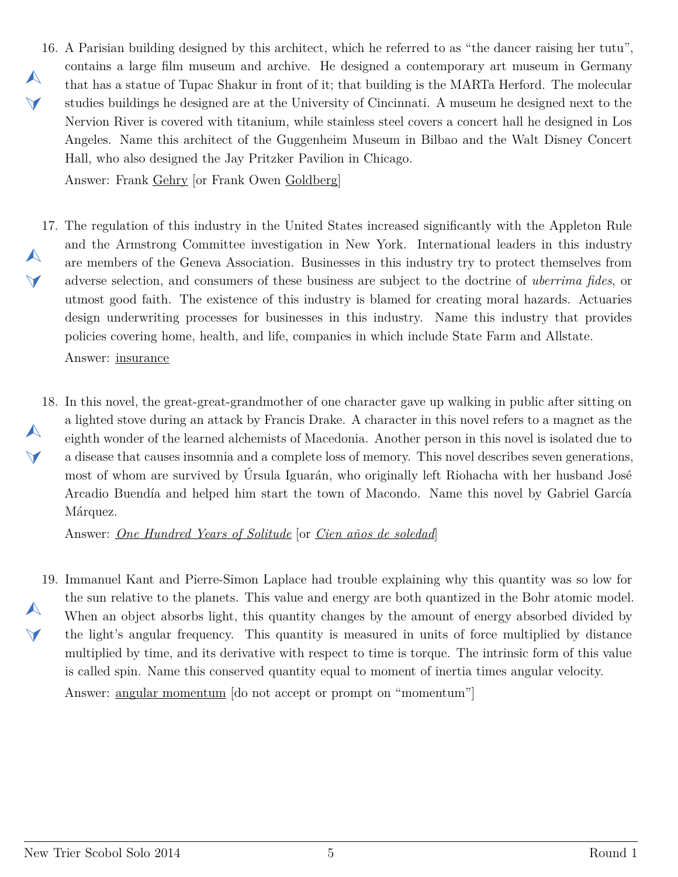<span id="page-4-0"></span>16. A Parisian building designed by this architect, which he referred to as "the dancer raising her tutu",  $\blacktriangle$  $\blacktriangle$ contains a large film museum and archive. He designed a contemporary art museum in Germany that has a statue of Tupac Shakur in front of it; that building is the MARTa Herford. The molecular studies buildings he designed are at the University of Cincinnati. A museum he designed next to the Nervion River is covered with titanium, while stainless steel covers a concert hall he designed in Los Angeles. Name this architect of the Guggenheim Museum in Bilbao and the Walt Disney Concert Hall, who also designed the Jay Pritzker Pavilion in Chicago.

Answer: Frank Gehry [or Frank Owen Goldberg]

- <span id="page-4-1"></span>17. The regulation of this industry in the United States increased significantly with the Appleton Rule  $\blacktriangle$  $\vee$ and the Armstrong Committee investigation in New York. International leaders in this industry are members of the Geneva Association. Businesses in this industry try to protect themselves from adverse selection, and consumers of these business are subject to the doctrine of *uberrima fides*, or utmost good faith. The existence of this industry is blamed for creating moral hazards. Actuaries design underwriting processes for businesses in this industry. Name this industry that provides policies covering home, health, and life, companies in which include State Farm and Allstate. Answer: insurance
- <span id="page-4-2"></span>18. In this novel, the great-great-grandmother of one character gave up walking in public after sitting on  $\blacktriangle$  $\blacktriangledown$ a lighted stove during an attack by Francis Drake. A character in this novel refers to a magnet as the eighth wonder of the learned alchemists of Macedonia. Another person in this novel is isolated due to a disease that causes insomnia and a complete loss of memory. This novel describes seven generations, most of whom are survived by Úrsula Iguarán, who originally left Riohacha with her husband José Arcadio Buendía and helped him start the town of Macondo. Name this novel by Gabriel García Márquez.

Answer: *One Hundred Years of Solitude* [or *Cien años de soledad*]

<span id="page-4-3"></span>19. Immanuel Kant and Pierre-Simon Laplace had trouble explaining why this quantity was so low for  $\blacktriangle$  $\blacktriangle$ the sun relative to the planets. This value and energy are both quantized in the Bohr atomic model. When an object absorbs light, this quantity changes by the amount of energy absorbed divided by the light's angular frequency. This quantity is measured in units of force multiplied by distance multiplied by time, and its derivative with respect to time is torque. The intrinsic form of this value is called spin. Name this conserved quantity equal to moment of inertia times angular velocity. Answer: angular momentum [do not accept or prompt on "momentum"]